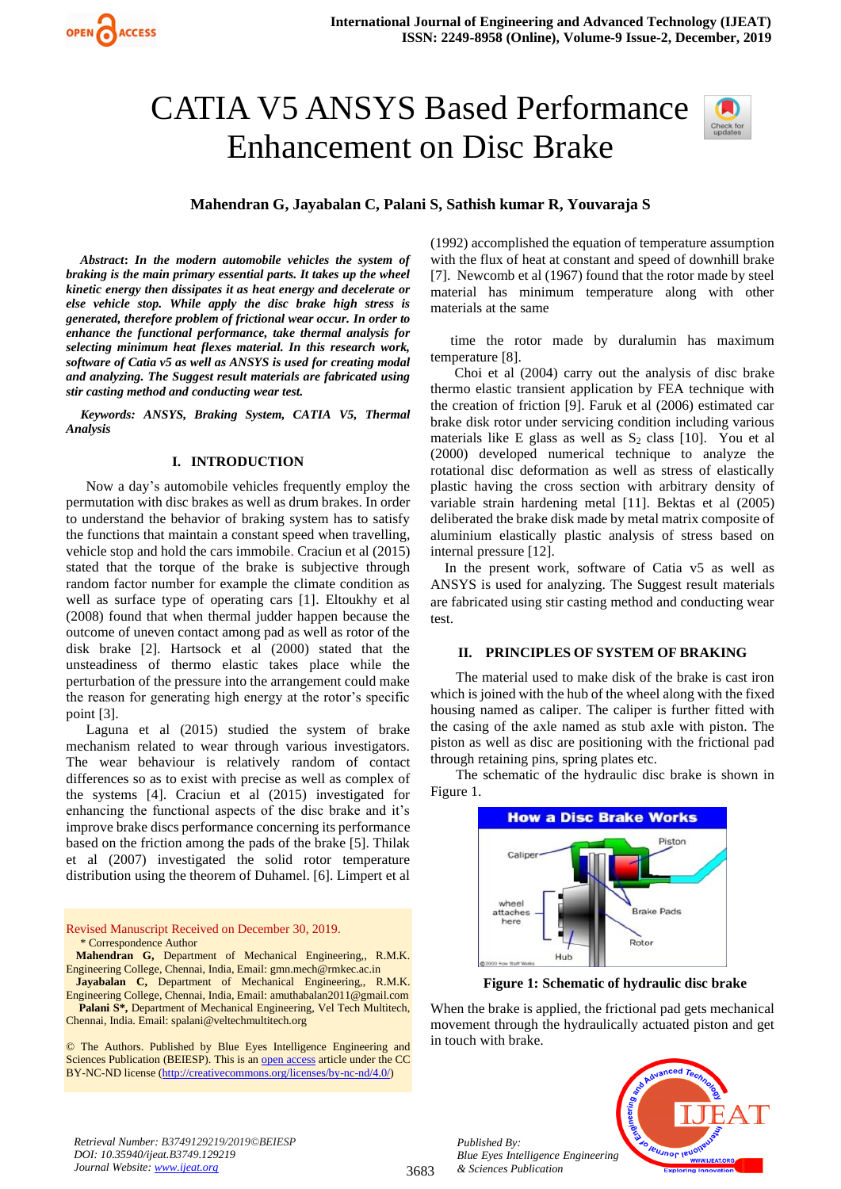# CATIA V5 ANSYS Based Performance Enhancement on Disc Brake



**Mahendran G, Jayabalan C, Palani S, Sathish kumar R, Youvaraja S**

*Abstract***:** *In the modern automobile vehicles the system of braking is the main primary essential parts. It takes up the wheel kinetic energy then dissipates it as heat energy and decelerate or else vehicle stop. While apply the disc brake high stress is generated, therefore problem of frictional wear occur. In order to enhance the functional performance, take thermal analysis for selecting minimum heat flexes material. In this research work, software of Catia v5 as well as ANSYS is used for creating modal and analyzing. The Suggest result materials are fabricated using stir casting method and conducting wear test.*

*Keywords: ANSYS, Braking System, CATIA V5, Thermal Analysis*

#### **I. INTRODUCTION**

Now a day's automobile vehicles frequently employ the permutation with disc brakes as well as drum brakes. In order to understand the behavior of braking system has to satisfy the functions that maintain a constant speed when travelling, vehicle stop and hold the cars immobile. Craciun et al (2015) stated that the torque of the brake is subjective through random factor number for example the climate condition as well as surface type of operating cars [1]. Eltoukhy et al (2008) found that when thermal judder happen because the outcome of uneven contact among pad as well as rotor of the disk brake [2]. Hartsock et al (2000) stated that the unsteadiness of thermo elastic takes place while the perturbation of the pressure into the arrangement could make the reason for generating high energy at the rotor's specific point [3].

Laguna et al (2015) studied the system of brake mechanism related to wear through various investigators. The wear behaviour is relatively random of contact differences so as to exist with precise as well as complex of the systems [4]. Craciun et al (2015) investigated for enhancing the functional aspects of the disc brake and it's improve brake discs performance concerning its performance based on the friction among the pads of the brake [5]. Thilak et al (2007) investigated the solid rotor temperature distribution using the theorem of Duhamel. [6]. Limpert et al

Revised Manuscript Received on December 30, 2019. \* Correspondence Author

**Mahendran G,** Department of Mechanical Engineering,, R.M.K. Engineering College, Chennai, India, Email[: gmn.mech@rmkec.ac.in](mailto:gmn.mech@rmkec.ac.in)

**Jayabalan C,** Department of Mechanical Engineering,, R.M.K. Engineering College, Chennai, India, Email[: amuthabalan2011@gmail.com](mailto:amuthabalan2011@gmail.com) Palani S<sup>\*</sup>, Department of Mechanical Engineering, Vel Tech Multitech,

Chennai, India. Email[: spalani@veltechmultitech.org](mailto:spalani@veltechmultitech.org)

© The Authors. Published by Blue Eyes Intelligence Engineering and Sciences Publication (BEIESP). This is a[n open access](https://www.openaccess.nl/en/open-publications) article under the CC BY-NC-ND license [\(http://creativecommons.org/licenses/by-nc-nd/4.0/\)](http://creativecommons.org/licenses/by-nc-nd/4.0/)

(1992) accomplished the equation of temperature assumption with the flux of heat at constant and speed of downhill brake [7]. Newcomb et al (1967) found that the rotor made by steel material has minimum temperature along with other materials at the same

time the rotor made by duralumin has maximum temperature [8].

 Choi et al (2004) carry out the analysis of disc brake thermo elastic transient application by FEA technique with the creation of friction [9]. Faruk et al (2006) estimated car brake disk rotor under servicing condition including various materials like E glass as well as  $S_2$  class [10]. You et all (2000) developed numerical technique to analyze the rotational disc deformation as well as stress of elastically plastic having the cross section with arbitrary density of variable strain hardening metal [11]. Bektas et al (2005) deliberated the brake disk made by metal matrix composite of aluminium elastically plastic analysis of stress based on internal pressure [12].

In the present work, software of Catia v5 as well as ANSYS is used for analyzing. The Suggest result materials are fabricated using stir casting method and conducting wear test.

#### **II. PRINCIPLES OF SYSTEM OF BRAKING**

The material used to make disk of the brake is cast iron which is joined with the hub of the wheel along with the fixed housing named as caliper. The caliper is further fitted with the casing of the axle named as stub axle with piston. The piston as well as disc are positioning with the frictional pad through retaining pins, spring plates etc.

The schematic of the hydraulic disc brake is shown in Figure 1.



**Figure 1: Schematic of hydraulic disc brake**

When the brake is applied, the frictional pad gets mechanical movement through the hydraulically actuated piston and get in touch with brake.



*Retrieval Number: B3749129219/2019©BEIESP DOI: 10.35940/ijeat.B3749.129219 Journal Website[: www.ijeat.org](http://www.ijeat.org/)*

*Published By:*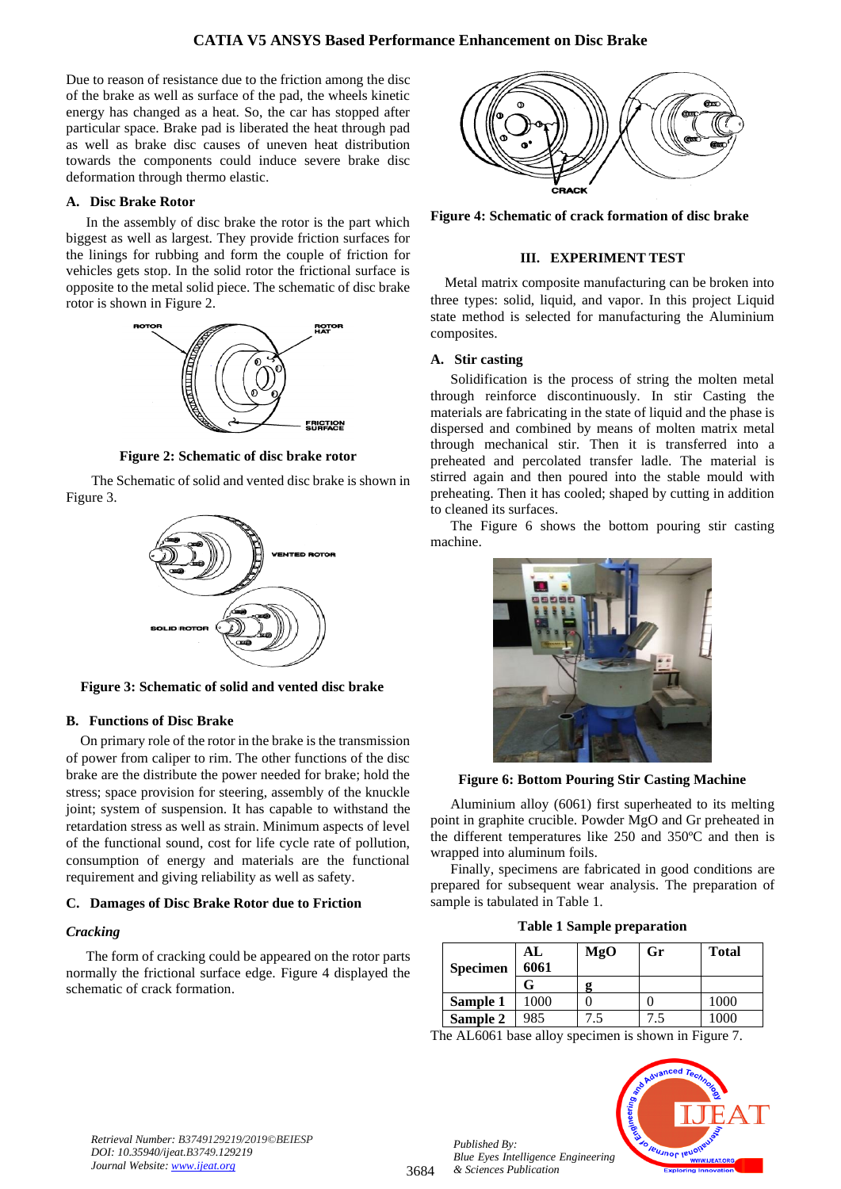Due to reason of resistance due to the friction among the disc of the brake as well as surface of the pad, the wheels kinetic energy has changed as a heat. So, the car has stopped after particular space. Brake pad is liberated the heat through pad as well as brake disc causes of uneven heat distribution towards the components could induce severe brake disc deformation through thermo elastic.

# **A. Disc Brake Rotor**

In the assembly of disc brake the rotor is the part which biggest as well as largest. They provide friction surfaces for the linings for rubbing and form the couple of friction for vehicles gets stop. In the solid rotor the frictional surface is opposite to the metal solid piece. The schematic of disc brake rotor is shown in Figure 2.



**Figure 2: Schematic of disc brake rotor**

The Schematic of solid and vented disc brake is shown in Figure 3.



**Figure 3: Schematic of solid and vented disc brake**

# **B. Functions of Disc Brake**

On primary role of the rotor in the brake is the transmission of power from caliper to rim. The other functions of the disc brake are the distribute the power needed for brake; hold the stress; space provision for steering, assembly of the knuckle joint; system of suspension. It has capable to withstand the retardation stress as well as strain. Minimum aspects of level of the functional sound, cost for life cycle rate of pollution, consumption of energy and materials are the functional requirement and giving reliability as well as safety.

#### **C. Damages of Disc Brake Rotor due to Friction**

# *Cracking*

The form of cracking could be appeared on the rotor parts normally the frictional surface edge. Figure 4 displayed the schematic of crack formation.



**Figure 4: Schematic of crack formation of disc brake**

## **III. EXPERIMENT TEST**

Metal matrix composite manufacturing can be broken into three types: solid, liquid, and vapor. In this project Liquid state method is selected for manufacturing the Aluminium composites.

## **A. Stir casting**

Solidification is the process of string the molten metal through reinforce discontinuously. In stir Casting the materials are fabricating in the state of liquid and the phase is dispersed and combined by means of molten matrix metal through mechanical stir. Then it is transferred into a preheated and percolated transfer ladle. The material is stirred again and then poured into the stable mould with preheating. Then it has cooled; shaped by cutting in addition to cleaned its surfaces.

The Figure 6 shows the bottom pouring stir casting machine.



**Figure 6: Bottom Pouring Stir Casting Machine**

Aluminium alloy (6061) first superheated to its melting point in graphite crucible. Powder MgO and Gr preheated in the different temperatures like 250 and 350ºC and then is wrapped into aluminum foils.

Finally, specimens are fabricated in good conditions are prepared for subsequent wear analysis. The preparation of sample is tabulated in Table 1.

|  |  | <b>Table 1 Sample preparation</b> |  |
|--|--|-----------------------------------|--|
|--|--|-----------------------------------|--|

| <b>Specimen</b> | AL<br>6061 | MgO | Gr  | <b>Total</b> |
|-----------------|------------|-----|-----|--------------|
|                 |            |     |     |              |
| Sample 1        | 1000       |     |     | 1000         |
| Sample 2        | 985        | 7.5 | 7.5 | 1000         |

The AL6061 base alloy specimen is shown in Figure 7.



*Published By:*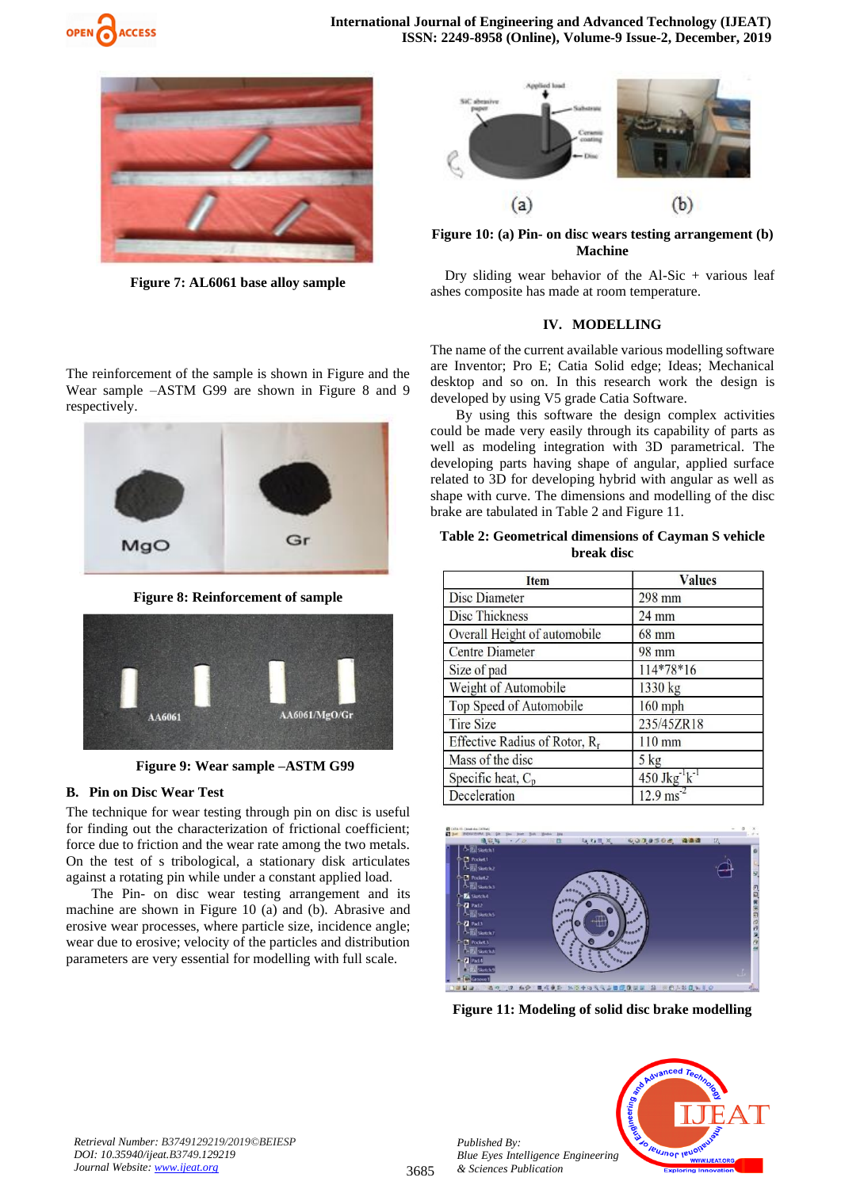



**Figure 7: AL6061 base alloy sample**



**Figure 10: (a) Pin- on disc wears testing arrangement (b) Machine**

Dry sliding wear behavior of the Al-Sic + various leaf ashes composite has made at room temperature.

#### **IV. MODELLING**

The name of the current available various modelling software are Inventor; Pro E; Catia Solid edge; Ideas; Mechanical desktop and so on. In this research work the design is developed by using V5 grade Catia Software.

By using this software the design complex activities could be made very easily through its capability of parts as well as modeling integration with 3D parametrical. The developing parts having shape of angular, applied surface related to 3D for developing hybrid with angular as well as shape with curve. The dimensions and modelling of the disc brake are tabulated in Table 2 and Figure 11.

#### **Table 2: Geometrical dimensions of Cayman S vehicle break disc**

| <b>Item</b>                               | <b>Values</b>          |
|-------------------------------------------|------------------------|
| <b>Disc Diameter</b>                      | 298 mm                 |
| <b>Disc Thickness</b>                     | $24$ mm                |
| Overall Height of automobile              | 68 mm                  |
| <b>Centre Diameter</b>                    | 98 mm                  |
| Size of pad                               | 114*78*16              |
| Weight of Automobile                      | 1330 kg                |
| Top Speed of Automobile                   | $160$ mph              |
| <b>Tire Size</b>                          | 235/45ZR18             |
| Effective Radius of Rotor, R <sub>r</sub> | $110$ mm               |
| Mass of the disc                          | $5$ kg                 |
| Specific heat, $C_p$                      | 450 J $kg^{-1}k^{-1}$  |
| Deceleration                              | $12.9 \text{ ms}^{-2}$ |



**Figure 11: Modeling of solid disc brake modelling**



The reinforcement of the sample is shown in Figure and the Wear sample –ASTM G99 are shown in Figure 8 and 9 respectively.



**Figure 8: Reinforcement of sample**



**Figure 9: Wear sample –ASTM G99**

# **B. Pin on Disc Wear Test**

The technique for wear testing through pin on disc is useful for finding out the characterization of frictional coefficient; force due to friction and the wear rate among the two metals. On the test of s tribological, a stationary disk articulates against a rotating pin while under a constant applied load.

The Pin- on disc wear testing arrangement and its machine are shown in Figure 10 (a) and (b). Abrasive and erosive wear processes, where particle size, incidence angle; wear due to erosive; velocity of the particles and distribution parameters are very essential for modelling with full scale.

*Published By:*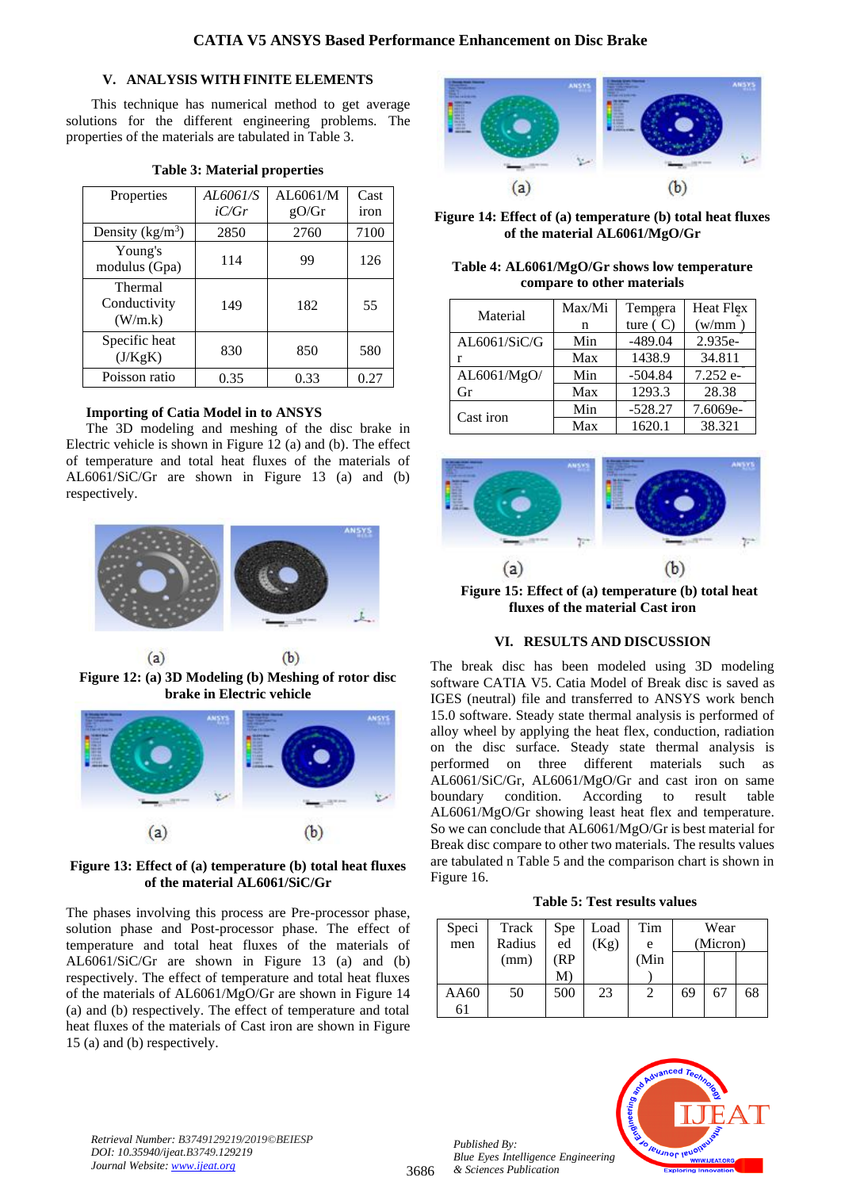# **V. ANALYSIS WITH FINITE ELEMENTS**

This technique has numerical method to get average solutions for the different engineering problems. The properties of the materials are tabulated in Table 3.

| Properties                         | AL6061/S | AL6061/M | Cast |
|------------------------------------|----------|----------|------|
|                                    | iC/Gr    | gO/Gr    | iron |
| Density $(kg/m^3)$                 | 2850     | 2760     | 7100 |
| Young's<br>modulus (Gpa)           | 114      | 99       | 126  |
| Thermal<br>Conductivity<br>(W/m.k) | 149      | 182      | 55   |
| Specific heat<br>(J/KgK)           | 830      | 850      | 580  |
| Poisson ratio                      | 0.35     | 0.33     | 0.27 |

# **Table 3: Material properties**

# **Importing of Catia Model in to ANSYS**

The 3D modeling and meshing of the disc brake in Electric vehicle is shown in Figure 12 (a) and (b). The effect of temperature and total heat fluxes of the materials of AL6061/SiC/Gr are shown in Figure 13 (a) and (b) respectively.



**Figure 12: (a) 3D Modeling (b) Meshing of rotor disc brake in Electric vehicle**



**Figure 13: Effect of (a) temperature (b) total heat fluxes of the material AL6061/SiC/Gr**

The phases involving this process are Pre-processor phase, solution phase and Post-processor phase. The effect of temperature and total heat fluxes of the materials of AL6061/SiC/Gr are shown in Figure 13 (a) and (b) respectively. The effect of temperature and total heat fluxes of the materials of AL6061/MgO/Gr are shown in Figure 14 (a) and (b) respectively. The effect of temperature and total heat fluxes of the materials of Cast iron are shown in Figure 15 (a) and (b) respectively.



**Figure 14: Effect of (a) temperature (b) total heat fluxes of the material AL6061/MgO/Gr**

| Table 4: AL6061/MgO/Gr shows low temperature |
|----------------------------------------------|
| compare to other materials                   |

| Material     | Max/Mi | Tempera    | Heat Flex |
|--------------|--------|------------|-----------|
|              | n      | ture $(C)$ | (w/mm)    |
| AL6061/SiC/G | Min    | $-489.04$  | 2.935e-   |
|              | Max    | 1438.9     | 34.811    |
| AL6061/MgO/  | Min    | $-504.84$  | 7.252 e-  |
| Gr           | Max    | 1293.3     | 28.38     |
| Cast iron    | Min    | $-528.27$  | 7.6069e-  |
|              | Max    | 1620.1     | 38.321    |



**Figure 15: Effect of (a) temperature (b) total heat fluxes of the material Cast iron**

# **VI. RESULTS AND DISCUSSION**

The break disc has been modeled using 3D modeling software CATIA V5. Catia Model of Break disc is saved as IGES (neutral) file and transferred to ANSYS work bench 15.0 software. Steady state thermal analysis is performed of alloy wheel by applying the heat flex, conduction, radiation on the disc surface. Steady state thermal analysis is performed on three different materials such as AL6061/SiC/Gr, AL6061/MgO/Gr and cast iron on same boundary condition. According to result table AL6061/MgO/Gr showing least heat flex and temperature. So we can conclude that AL6061/MgO/Gr is best material for Break disc compare to other two materials. The results values are tabulated n Table 5 and the comparison chart is shown in Figure 16.

**Table 5: Test results values**

| Speci | Track  | Spe | Load | Tim  |          | Wear |    |
|-------|--------|-----|------|------|----------|------|----|
| men   | Radius | ed  | (Kg) | e    | (Micron) |      |    |
|       | (mm)   | (RP |      | (Min |          |      |    |
|       |        | М   |      |      |          |      |    |
| AA60  | 50     | 500 | 23   | 2    | 69       | 67   | 68 |
| 6 I   |        |     |      |      |          |      |    |



*Retrieval Number: B3749129219/2019©BEIESP DOI: 10.35940/ijeat.B3749.129219 Journal Website[: www.ijeat.org](http://www.ijeat.org/)*

*Published By:*